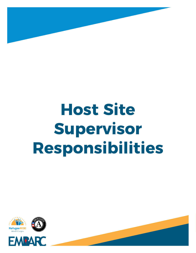

# **Host Site Supervisor Responsibilities**



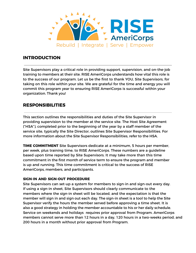

## **INTRODUCTION**

Site Supervisors play a critical role in providing support, supervision, and on-the-job training to members at their site. RISE AmeriCorps understands how vital this role is to the success of our program. Let us be the first to thank YOU, Site Supervisors, for taking on this role within your site. We are grateful for the time and energy you will commit this program year to ensuring RISE AmeriCorps is successful within your organization. Thank you!

## **RESPONSIBILITIES**

This section outlines the responsibilities and duties of the Site Supervisor in providing supervision to the member at the service site. The Host Site Agreement ("HSA"), completed prior to the beginning of the year by a staff member of the service site, typically the Site Director, outlines Site Supervisor Responsibilities. For more information about the Site Supervisor Responsibilities, refer to the HSA.

**TIME COMMITMENT** Site Supervisors dedicate at a minimum, 5 hours per member, per week, plus training time, to RISE AmeriCorps. These numbers are a guideline based upon time reported by Site Supervisors. It may take more than this time commitment in the first month of service term to ensure the program and member is up and running. This time commitment is critical to the success of RISE AmeriCorps, members, and participants.

#### **SIGN-IN AND SIGN-OUT PROCEDURE**

Site Supervisors can set-up a system for members to sign-in and sign-out every day. If using a sign-in sheet, Site Supervisors should clearly communicate to the members where the sign-in sheet will be located, and the expectation is that the member will sign in and sign out each day. The sign-in sheet is a tool to help the Site Supervisor verify the hours the member served before approving a time sheet. It is also a good strategy in holding the member accountable to his or her daily schedule. Service on weekends and holidays requires prior approval from Program. AmeriCorps members cannot serve more than 12 hours in a day, 120 hours in a two-weeks period, and 200 hours in a month without prior approval from Program.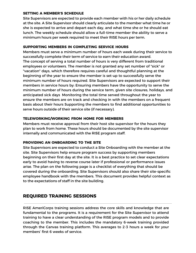#### **SETTING A MEMBER'S SCHEDULE**

Site Supervisors are expected to provide each member with his or her daily schedule at the site. A Site Supervisor should clearly articulate to the member what time he or she is expected to arrive and depart each day, and what time she or he should eat lunch. The weekly schedule should allow a full-time member the ability to serve a minimum hours per week required to meet their RISE hours per term.

#### **SUPPORTING MEMBERS IN COMPLETING SERVICE HOURS**

Members must serve a minimum number of hours each week during their service to successfully complete their term of service to earn their education award. The concept of serving a total number of hours is very different from traditional employees or volunteers. The member is not granted any set number of "sick" or "vacation" days, which therefore requires careful and thoughtful planning at the beginning of the year to ensure the member is set-up to successfully serve the minimum number of hours required. Site Supervisors are expected to support their members in service hours by: Ensuring members have the opportunity to serve the minimum number of hours during the service term, given site closures, holidays, and anticipated sick days Monitoring the total time served throughout the year to ensure the members are on track and checking in with the members on a frequent basis about their hours Supporting the members to find additional opportunities to serve hours outside of their service site (if necessary).

#### **TELEWORKING/WORKING FROM HOME FOR MEMBERS**

Members must receive approval from their host site supervisor for the hours they plan to work from home. These hours should be documented by the site supervisor internally and communicated with the RISE program staff.

#### **PROVIDING AN ONBOARDING TO THE SITE**

Site Supervisors are expected to conduct a Site Onboarding with the member at the site. Site Supervisors help ensure program success by supporting members beginning on their first day at the site. It is a best practice to set clear expectations early to avoid having to reverse course later if professional or performance issues arise. The plan on the following page is a checklist of everything that should be covered during the onboarding. Site Supervisors should also share their site-specific employee handbook with the members. This document provides helpful context as to the expectations of staff in the site building.

## **REQUIRED TRAINING SESSIONS**

RISE AmeriCorps training sessions address the core skills and knowledge that are fundamental to the programs. It is a requirement for the Site Supervisor to attend training to have a clear understanding of the RISE program models and to provide coaching to the member. This includes the mandatory 6-week training provided through the Canvas training platform. This averages to 2-3 hours a week for your members' first 6 weeks of service.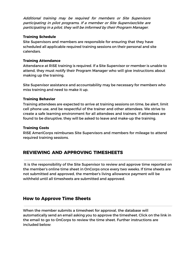Additional training may be required for members or Site Supervisors participating in pilot programs**.** If a member or Site Supervisor/site are participating in <sup>a</sup> pilot, they will be informed by their Program Manager.

#### **Training Schedule**

Site Supervisors and members are responsible for ensuring that they have scheduled all applicable required training sessions on their personal and site calendars.

#### **Training Attendance**

Attendance at RISE training is required. If a Site Supervisor or member is unable to attend, they must notify their Program Manager who will give instructions about making up the training.

Site Supervisor assistance and accountability may be necessary for members who miss training and need to make it up.

#### **Training Behavior**

Training attendees are expected to arrive at training sessions on time, be alert, limit cell phone use, and be respectful of the trainer and other attendees. We strive to create a safe learning environment for all attendees and trainers. If attendees are found to be disruptive, they will be asked to leave and make-up the training.

#### **Training Costs**

RISE AmeriCorps reimburses Site Supervisors and members for mileage to attend required training sessions.

## **REVIEWING AND APPROVING TIMESHEETS**

It is the responsibility of the Site Supervisor to review and approve time reported on the member's online time sheet in OnCorps once every two weeks. If time sheets are not submitted and approved, the member's living allowance payment will be withheld until all timesheets are submitted and approved.

## **How to Approve Time Sheets**

When the member submits a timesheet for approval, the database will automatically send an email asking you to approve the timesheet. Click on the link in the email to go to OnCorps to review the time sheet. Further instructions are included below: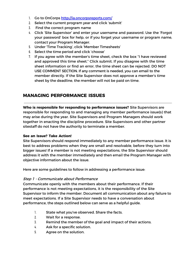- 1. Go to OnCorps <http://ia.oncorpsreports.com/>
- 2. Select the current program year and click 'submit'
- 3. Find the correct program name
- 4. Click 'Site Supervisor' and enter your username and password. Use the 'Forgot your password' box for help, or if you forget your username or program name, contact your Program Manager.
- 5. Under 'Time Tracking', click 'Member Timesheets'
- 6. Select the time period and click 'choose'
- 7. If you agree with the member's time sheet, check the box "I have reviewed and approved this time sheet." Click submit. If you disagree with the time sheet information or find an error, the time sheet can be rejected. DO NOT USE COMMENT SECTION. If any comment is needed, you can email to the member directly. If the Site Supervisor does not approve a member's time sheet by the deadline, the member will not be paid on time.

## **MANAGING PERFORMANCE ISSUES**

**Who is responsible for responding to performance issues?** Site Supervisors are responsible for responding to and managing any member performance issue(s) that may arise during the year. Site Supervisors and Program Managers should work together in enacting the discipline procedure. Site Supervisors and other partner sitestaff do not have the authority to terminate a member.

#### **See an Issue? Take Action!**

Site Supervisors should respond immediately to any member performance issue. It is best to address problems when they are small and resolvable, before they turn into bigger issues! If a member is not meeting expectations, the Site Supervisor should address it with the member immediately and then email the Program Manager with objective information about the issue.

Here are some guidelines to follow in addressing a performance issue:

#### Step 1 - Communicate about Performance

Communicate openly with the members about their performance. If their performance is not meeting expectations, it is the responsibility of the Site Supervisor to inform the member. Document all communication about any failure to meet expectations. If a Site Supervisor needs to have a conversation about performance, the steps outlined below can serve as a helpful guide.

- 1. State what you've observed. Share the facts.
- 2. Wait for a response.
- 3. Remind the member of the goal and impact of their actions.
- 4. Ask for a specific solution.
- 5. Agree on the solution.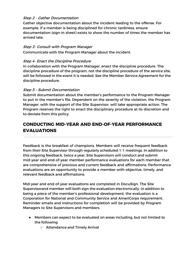#### Step 2 - Gather Documentation

Gather objective documentation about the incident leading to the offense. For example, if a member is being disciplined for chronic tardiness, ensure documentation (sign-in sheet) exists to show the number of times the member has arrived late.

#### Step 3- Consult with Program Manager

Communicate with the Program Manager about the incident.

#### Step 4- Enact the Discipline Procedure

In collaboration with the Program Manager, enact the discipline procedure. The discipline procedure of the program, not the discipline procedure of the service site, will be followed in the event it is needed. See the Member Service Agreement for the discipline procedure.

#### Step 5 – Submit Documentation

Submit documentation about the member's performance to the Program Manager to put in the member's file. Dependent on the severity of the violation, the Program Manager, with the support of the Site Supervisor, will take appropriate action. The Program reserves the right to enact the disciplinary procedure at its discretion and to deviate from this policy.

# **CONDUCTING MID-YEAR AND END-OF-YEAR PERFORMANCE EVALUATIONS**

Feedback is the breakfast of champions. Members will receive frequent feedback from their Site Supervisor through regularly scheduled 1-1 meetings. In addition to this ongoing feedback, twice a year, Site Supervisors will conduct and submit mid-year and end-of-year member performance evaluations for each member that are comprehensive of previous and current feedback and affirmations. Performance evaluations are an opportunity to provide a member with objective, timely, and relevant feedback and affirmations.

Mid-year and end-of-year evaluations are completed in DocuSign. The Site Supervisorand member will both sign the evaluation electronically. In addition to being a piece of the member's professional development, the evaluation is a Corporation for National and Community Service and AmeriCorps requirement. Reminder emails and instructions for completion will be provided by Program Managers to Site Supervisors and members.

- Members can expect to be evaluated on areas including, but not limited to the following
	- Attendance and Timely Arrival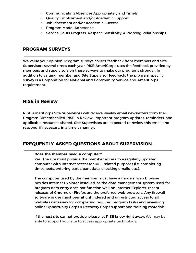- Communicating Absences Appropriately and Timely
- Quality Employment and/or Academic Support
- Job Placement and/or Academic Success
- Program Model Adherence
- Service Hours Progress Respect, Sensitivity, & Working Relationships

## **PROGRAM SURVEYS**

We value your opinion! Program surveys collect feedback from members and Site Supervisors several times each year. RISE AmeriCorps uses the feedback provided by members and supervisors on these surveys to make our programs stronger. In addition to valuing member and Site Supervisor feedback, the program specific survey is a Corporation for National and Community Service and AmeriCorps requirement.

## **RISE in Review**

RISE AmeriCorps Site Supervisors will receive weekly email newsletters from their Program Director called RISE in Review. Important program updates, reminders, and applicable resources shared. Site Supervisors are expected to review this email and respond, if necessary, in a timely manner.

## **FREQUENTLY ASKED QUESTIONS ABOUT SUPERVISION**

#### **Does the member need a computer?**

Yes. The site must provide the member access to a regularly updated computer with Internet access for RISE related purposes (i.e. completing timesheets, entering participant data, checking emails, etc.).

The computer used by the member must have a modern web browser besides Internet Explorer installed, as the data management system used for program data entry does not function well on Internet Explorer; recent releases of Chrome or Firefox are the preferred web browsers. Any firewall software in use must permit unhindered and unrestricted access to all websites necessary for completing required program tasks and reviewing online Opportunity Corps & Recovery Corps support and training materials.

If the host site cannot provide, please let RISE know right away. We may be able to support your site to access appropriate technology.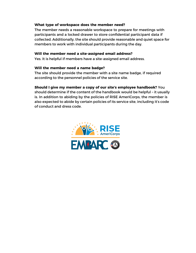#### **What type of workspace does the member need?**

The member needs a reasonable workspace to prepare for meetings with participants and a locked drawer to store confidential participant data if collected. Additionally, the site should provide reasonable and quiet space for members to work with individual participants during the day.

#### **Will the member need a site-assigned email address?**

Yes. It is helpful if members have a site-assigned email address.

#### **Will the member need a name badge?**

The site should provide the member with a site name badge, if required according to the personnel policies of the service site.

**Should I give my member a copy of our site's employee handbook?** You should determine if the content of the handbook would be helpful – it usually is. In addition to abiding by the policies of RISE AmeriCorps, the member is also expected to abide by certain policies of its service site, including it's code of conduct and dress code.